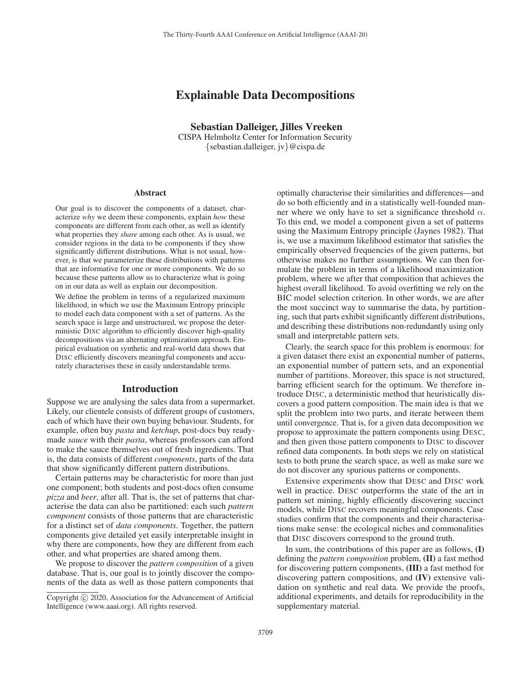# Explainable Data Decompositions

Sebastian Dalleiger, Jilles Vreeken

CISPA Helmholtz Center for Information Security {sebastian.dalleiger, jv}@cispa.de

#### Abstract

Our goal is to discover the components of a dataset, characterize *why* we deem these components, explain *how* these components are different from each other, as well as identify what properties they *share* among each other. As is usual, we consider regions in the data to be components if they show significantly different distributions. What is not usual, however, is that we parameterize these distributions with patterns that are informative for one or more components. We do so because these patterns allow us to characterize what is going on in our data as well as explain our decomposition.

We define the problem in terms of a regularized maximum likelihood, in which we use the Maximum Entropy principle to model each data component with a set of patterns. As the search space is large and unstructured, we propose the deterministic DISC algorithm to efficiently discover high-quality decompositions via an alternating optimization approach. Empirical evaluation on synthetic and real-world data shows that DISC efficiently discovers meaningful components and accurately characterises these in easily understandable terms.

#### Introduction

Suppose we are analysing the sales data from a supermarket. Likely, our clientele consists of different groups of customers, each of which have their own buying behaviour. Students, for example, often buy *pasta* and *ketchup*, post-docs buy readymade *sauce* with their *pasta*, whereas professors can afford to make the sauce themselves out of fresh ingredients. That is, the data consists of different *components*, parts of the data that show significantly different pattern distributions.

Certain patterns may be characteristic for more than just one component; both students and post-docs often consume *pizza* and *beer*, after all. That is, the set of patterns that characterise the data can also be partitioned: each such *pattern component* consists of those patterns that are characteristic for a distinct set of *data components*. Together, the pattern components give detailed yet easily interpretable insight in why there are components, how they are different from each other, and what properties are shared among them.

We propose to discover the *pattern composition* of a given database. That is, our goal is to jointly discover the components of the data as well as those pattern components that optimally characterise their similarities and differences—and do so both efficiently and in a statistically well-founded manner where we only have to set a significance threshold  $\alpha$ . To this end, we model a component given a set of patterns using the Maximum Entropy principle (Jaynes 1982). That is, we use a maximum likelihood estimator that satisfies the empirically observed frequencies of the given patterns, but otherwise makes no further assumptions. We can then formulate the problem in terms of a likelihood maximization problem, where we after that composition that achieves the highest overall likelihood. To avoid overfitting we rely on the BIC model selection criterion. In other words, we are after the most succinct way to summarise the data, by partitioning, such that parts exhibit significantly different distributions, and describing these distributions non-redundantly using only small and interpretable pattern sets.

Clearly, the search space for this problem is enormous: for a given dataset there exist an exponential number of patterns, an exponential number of pattern sets, and an exponential number of partitions. Moreover, this space is not structured, barring efficient search for the optimum. We therefore introduce DISC, a deterministic method that heuristically discovers a good pattern composition. The main idea is that we split the problem into two parts, and iterate between them until convergence. That is, for a given data decomposition we propose to approximate the pattern components using DESC, and then given those pattern components to DISC to discover refined data components. In both steps we rely on statistical tests to both prune the search space, as well as make sure we do not discover any spurious patterns or components.

Extensive experiments show that DESC and DISC work well in practice. DESC outperforms the state of the art in pattern set mining, highly efficiently discovering succinct models, while DISC recovers meaningful components. Case studies confirm that the components and their characterisations make sense: the ecological niches and commonalities that DISC discovers correspond to the ground truth.

In sum, the contributions of this paper are as follows, (I) defining the *pattern composition* problem, (II) a fast method for discovering pattern components, (III) a fast method for discovering pattern compositions, and (IV) extensive validation on synthetic and real data. We provide the proofs, additional experiments, and details for reproducibility in the supplementary material.

Copyright  $\odot$  2020, Association for the Advancement of Artificial Intelligence (www.aaai.org). All rights reserved.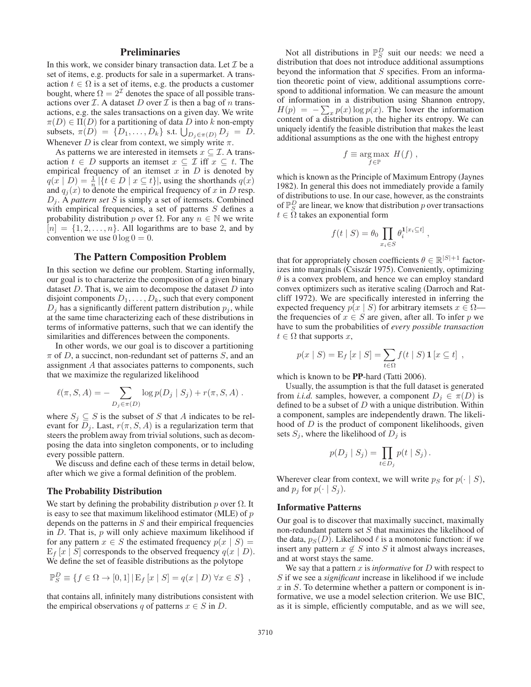# **Preliminaries**

In this work, we consider binary transaction data. Let  $\mathcal I$  be a set of items, e.g. products for sale in a supermarket. A transaction  $t \in \Omega$  is a set of items, e.g. the products a customer bought, where  $\Omega = 2^{\mathcal{I}}$  denotes the space of all possible transactions over  $I$ . A dataset D over  $I$  is then a bag of n transactions, e.g. the sales transactions on a given day. We write  $\pi(D) \in \Pi(D)$  for a partitioning of data D into k non-empty subsets,  $\pi(D) = \{D_1, \ldots, D_k\}$  s.t.  $\bigcup_{D_j \in \pi(D)} D_j = D$ . Whenever D is clear from context, we simply write  $\pi$ .

As patterns we are interested in itemsets  $x \subseteq \mathcal{I}$ . A transaction  $t \in D$  supports an itemset  $x \subseteq \mathcal{I}$  iff  $x \subseteq t$ . The empirical frequency of an itemset  $x$  in  $D$  is denoted by  $q(x | D) = \frac{1}{n} |\{t \in D \mid x \subseteq t\}|$ , using the shorthands  $q(x)$ and  $q_j(x)$  to denote the empirical frequency of x in D resp.  $D_j$ . A *pattern set* S is simply a set of itemsets. Combined with empirical frequencies, a set of patterns  $S$  defines a probability distribution p over  $\Omega$ . For any  $n \in \mathbb{N}$  we write  $[n] = \{1, 2, \ldots, n\}$ . All logarithms are to base 2, and by convention we use  $0 \log 0 = 0$ .

# The Pattern Composition Problem

In this section we define our problem. Starting informally, our goal is to characterize the composition of a given binary dataset  $D$ . That is, we aim to decompose the dataset  $D$  into disjoint components  $D_1, \ldots, D_k$ , such that every component  $D_i$  has a significantly different pattern distribution  $p_i$ , while at the same time characterizing each of these distributions in terms of informative patterns, such that we can identify the similarities and differences between the components.

In other words, we our goal is to discover a partitioning  $\pi$  of D, a succinct, non-redundant set of patterns S, and an assignment A that associates patterns to components, such that we maximize the regularized likelihood

$$
\ell(\pi, S, A) = - \sum_{D_j \in \pi(D)} \log p(D_j | S_j) + r(\pi, S, A) .
$$

where  $S_j \subseteq S$  is the subset of S that A indicates to be relevant for  $D_j$ . Last,  $r(\pi, S, A)$  is a regularization term that steers the problem away from trivial solutions, such as decomposing the data into singleton components, or to including every possible pattern.

We discuss and define each of these terms in detail below, after which we give a formal definition of the problem.

# The Probability Distribution

We start by defining the probability distribution  $p$  over  $\Omega$ . It is easy to see that maximum likelihood estimator (MLE) of  $p$ depends on the patterns in  $S$  and their empirical frequencies in  $D$ . That is,  $p$  will only achieve maximum likelihood if for any pattern  $x \in S$  the estimated frequency  $p(x \mid S) =$  $E_f[x \mid S]$  corresponds to the observed frequency  $q(x \mid D)$ . We define the set of feasible distributions as the polytope

$$
\mathbb{P}_S^D \equiv \{ f \in \Omega \to [0,1] \, | \, \mathcal{E}_f \left[ x \mid S \right] = q(x \mid D) \, \forall x \in S \},
$$

that contains all, infinitely many distributions consistent with the empirical observations q of patterns  $x \in S$  in D.

Not all distributions in  $\mathbb{P}_{S}^{D}$  suit our needs: we need a distribution that does not introduce additional assumptions beyond the information that  $S$  specifies. From an information theoretic point of view, additional assumptions correspond to additional information. We can measure the amount of information in a distribution using Shannon entropy,  $H(p) = -\sum_{x} p(x) \log p(x)$ . The lower the information content of a distribution  $p$ , the higher its entropy. We can uniquely identify the feasible distribution that makes the least additional assumptions as the one with the highest entropy

$$
f \equiv \underset{f \in \mathbb{P}}{\arg \max} H(f) ,
$$

which is known as the Principle of Maximum Entropy (Jaynes 1982). In general this does not immediately provide a family of distributions to use. In our case, however, as the constraints of  $\mathbb{P}^D_S$  are linear, we know that distribution  $p$  over transactions  $t \in \Omega$  takes an exponential form

$$
f(t | S) = \theta_0 \prod_{x_i \in S} \theta_i^{1[x_i \subseteq t]},
$$

that for appropriately chosen coefficients  $\theta \in \mathbb{R}^{|S|+1}$  factorizes into marginals (Csiszár 1975). Conveniently, optimizing  $\theta$  is a convex problem, and hence we can employ standard convex optimizers such as iterative scaling (Darroch and Ratcliff 1972). We are specifically interested in inferring the expected frequency  $p(x \mid S)$  for arbitrary itemsets  $x \in \Omega$  the frequencies of  $x \in S$  are given, after all. To infer p we have to sum the probabilities of *every possible transaction*  $t \in \Omega$  that supports x,

$$
p(x | S) = \mathbf{E}_f [x | S] = \sum_{t \in \Omega} f(t | S) \mathbf{1} [x \subseteq t],
$$

which is known to be **PP**-hard (Tatti 2006).

Usually, the assumption is that the full dataset is generated from *i.i.d.* samples, however, a component  $D_i \in \pi(D)$  is defined to be a subset of  $D$  with a unique distribution. Within a component, samples are independently drawn. The likelihood of  $D$  is the product of component likelihoods, given sets  $S_j$ , where the likelihood of  $D_j$  is

$$
p(D_j | S_j) = \prod_{t \in D_j} p(t | S_j).
$$

Wherever clear from context, we will write  $p_S$  for  $p(\cdot | S)$ , and  $p_j$  for  $p(\cdot | S_j)$ .

#### Informative Patterns

Our goal is to discover that maximally succinct, maximally non-redundant pattern set  $S$  that maximizes the likelihood of the data,  $p_S(D)$ . Likelihood  $\ell$  is a monotonic function: if we insert any pattern  $x \notin S$  into S it almost always increases, and at worst stays the same.

We say that a pattern  $x$  is *informative* for  $D$  with respect to S if we see a *significant* increase in likelihood if we include  $x$  in  $S$ . To determine whether a pattern or component is informative, we use a model selection criterion. We use BIC, as it is simple, efficiently computable, and as we will see,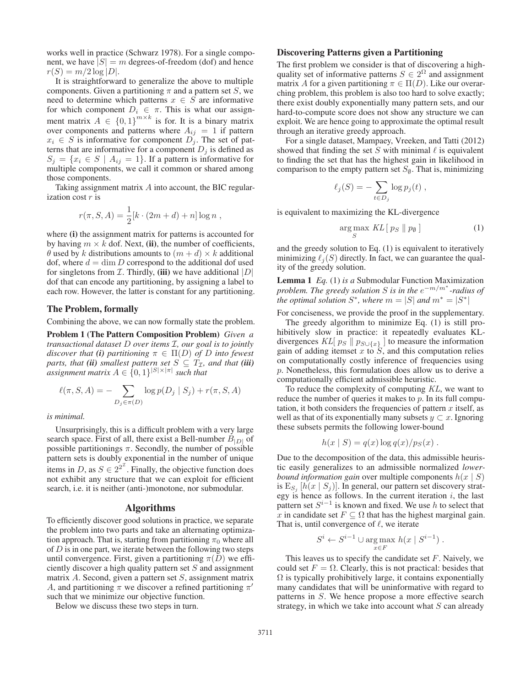works well in practice (Schwarz 1978). For a single component, we have  $|S| = m$  degrees-of-freedom (dof) and hence  $r(S) = m/2 \log |D|$ .

It is straightforward to generalize the above to multiple components. Given a partitioning  $\pi$  and a pattern set S, we need to determine which patterns  $x \in S$  are informative for which component  $D_i \in \pi$ . This is what our assignment matrix  $A \in \{0,1\}^{m \times k}$  is for. It is a binary matrix over components and patterns where  $A_{ij} = 1$  if pattern  $x_i \in S$  is informative for component  $D_j$ . The set of patterns that are informative for a component  $D_j$  is defined as  $S_j = \{x_i \in S \mid A_{ij} = 1\}.$  If a pattern is informative for multiple components, we call it common or shared among those components.

Taking assignment matrix A into account, the BIC regularization cost  $r$  is

$$
r(\pi, S, A) = \frac{1}{2} [k \cdot (2m + d) + n] \log n ,
$$

where (i) the assignment matrix for patterns is accounted for by having  $m \times k$  dof. Next, (ii), the number of coefficients,  $\theta$  used by k distributions amounts to  $(m + d) \times k$  additional dof, where  $d = \dim D$  correspond to the additional dof used for singletons from  $\mathcal I$ . Thirdly, (iii) we have additional  $|D|$ dof that can encode any partitioning, by assigning a label to each row. However, the latter is constant for any partitioning.

#### The Problem, formally

Combining the above, we can now formally state the problem.

Problem 1 (The Pattern Composition Problem) *Given a transactional dataset* D *over items* I*, our goal is to jointly discover that* (i) *partitioning*  $\pi \in \Pi(D)$  *of* D *into fewest parts, that (ii) smallest pattern set*  $S \subseteq T_{\mathcal{I}}$ *, and that (iii) assignment matrix*  $A \in \{0,1\}^{|S| \times |\pi|}$  *such that* 

$$
\ell(\pi, S, A) = -\sum_{D_j \in \pi(D)} \log p(D_j | S_j) + r(\pi, S, A)
$$

*is minimal.*

Unsurprisingly, this is a difficult problem with a very large search space. First of all, there exist a Bell-number  $B_{|D|}$  of possible partitionings  $\pi$ . Secondly, the number of possible pattern sets is doubly exponential in the number of unique items in D, as  $S \in 2^{2^{\mathcal{I}}}$ . Finally, the objective function does not exhibit any structure that we can exploit for efficient search, i.e. it is neither (anti-)monotone, nor submodular.

#### Algorithms

To efficiently discover good solutions in practice, we separate the problem into two parts and take an alternating optimization approach. That is, starting from partitioning  $\pi_0$  where all of  $D$  is in one part, we iterate between the following two steps until convergence. First, given a partitioning  $\pi(D)$  we efficiently discover a high quality pattern set  $S$  and assignment matrix  $A$ . Second, given a pattern set  $S$ , assignment matrix A, and partitioning  $\pi$  we discover a refined partitioning  $\pi'$ such that we minimize our objective function.

Below we discuss these two steps in turn.

# Discovering Patterns given a Partitioning

The first problem we consider is that of discovering a highquality set of informative patterns  $S \in 2^{\Omega}$  and assignment matrix A for a given partitioning  $\pi \in \Pi(D)$ . Like our overarching problem, this problem is also too hard to solve exactly; there exist doubly exponentially many pattern sets, and our hard-to-compute score does not show any structure we can exploit. We are hence going to approximate the optimal result through an iterative greedy approach.

For a single dataset, Mampaey, Vreeken, and Tatti (2012) showed that finding the set S with minimal  $\ell$  is equivalent to finding the set that has the highest gain in likelihood in comparison to the empty pattern set  $S_{\emptyset}$ . That is, minimizing

$$
\ell_j(S) = -\sum_{t \in D_j} \log p_j(t) ,
$$

is equivalent to maximizing the KL-divergence

$$
\underset{S}{\arg\max} KL[p_S \parallel p_\emptyset]
$$
 (1)

and the greedy solution to Eq. (1) is equivalent to iteratively minimizing  $\ell_i(S)$  directly. In fact, we can guarantee the quality of the greedy solution.

Lemma 1 *Eq.* (1) *is a* Submodular Function Maximization *problem. The greedy solution* S *is in the* e−m/m<sup>∗</sup> *-radius of the optimal solution*  $S^*$ *, where*  $m = |S|$  *and*  $m^* = |S^*|$ 

For conciseness, we provide the proof in the supplementary. The greedy algorithm to minimize Eq. (1) is still prohibitively slow in practice: it repeatedly evaluates KLdivergences KL[ $p_S \parallel p_{S \cup \{x\}}$ ] to measure the information gain of adding itemset x to S, and this computation relies on computationally costly inference of frequencies using p. Nonetheless, this formulation does allow us to derive a computationally efficient admissible heuristic.

To reduce the complexity of computing KL, we want to reduce the number of queries it makes to  $p$ . In its full computation, it both considers the frequencies of pattern  $x$  itself, as well as that of its exponentially many subsets  $y \subset x$ . Ignoring these subsets permits the following lower-bound

$$
h(x | S) = q(x) \log q(x) / p_S(x) .
$$

Due to the decomposition of the data, this admissible heuristic easily generalizes to an admissible normalized *lowerbound information gain* over multiple components  $h(x \mid S)$ is  $E_{S_i}$  [h(x | S<sub>j</sub>)]. In general, our pattern set discovery strategy is hence as follows. In the current iteration  $i$ , the last pattern set  $S^{i-1}$  is known and fixed. We use h to select that x in candidate set  $F \subseteq \Omega$  that has the highest marginal gain. That is, until convergence of  $\ell$ , we iterate

$$
S^i \leftarrow S^{i-1} \cup \underset{x \in F}{\text{arg max}} \ h(x \mid S^{i-1}).
$$

This leaves us to specify the candidate set  $F$ . Naively, we could set  $F = \Omega$ . Clearly, this is not practical: besides that  $\Omega$  is typically prohibitively large, it contains exponentially many candidates that will be uninformative with regard to patterns in S. We hence propose a more effective search strategy, in which we take into account what  $S$  can already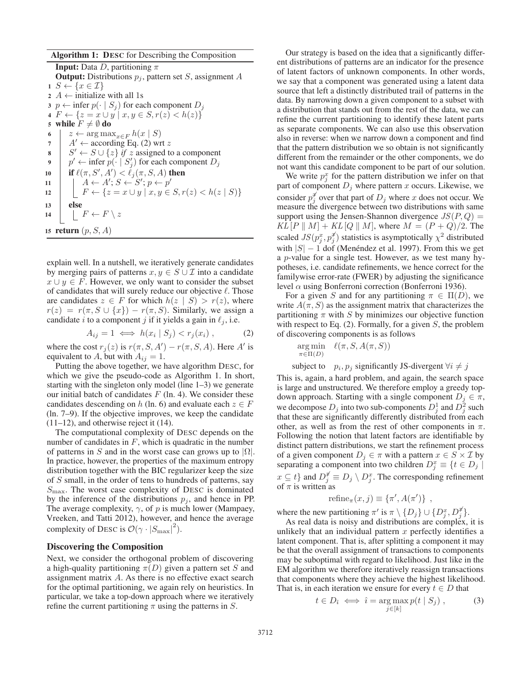Algorithm 1: DESC for Describing the Composition

**Input:** Data *D*, partitioning  $\pi$ **Output:** Distributions  $p_i$ , pattern set S, assignment A  $1 \ S \leftarrow \{x \in \mathcal{I}\}\$ 2  $A \leftarrow$  initialize with all 1s 3 p  $\leftarrow$  infer  $p(\cdot | S_j)$  for each component  $D_j$ 4  $F \leftarrow \{z = x \cup y \mid x, y \in S, r(z) < h(z)\}\$ 5 while  $F \neq \emptyset$  do 6  $z \leftarrow \arg \max_{x \in F} h(x \mid S)$ <br>7  $A' \leftarrow \text{according Eq. (2) wr}$  $A' \leftarrow$  according Eq. (2) wrt z 8  $\mid S' \leftarrow S \cup \{z\}$  *if* z assigned to a component 9  $\boxed{p' \leftarrow \text{infer } p(\cdot \mid S'_j) \text{ for each component } D_j}$ 10 **if**  $\ell(\pi, S', A') < \ell_j(\pi, S, A)$  then 11  $A \leftarrow A'; S \leftarrow S'; p \leftarrow p'$ 12  $\Big| \Big| F \leftarrow \{ z = x \cup y \mid x, y \in S, r(z) < h(z \mid S) \}$ 13 else 14  $\mid \quad \mid F \leftarrow F \setminus z$ 15 return  $(p, S, A)$ 

explain well. In a nutshell, we iteratively generate candidates by merging pairs of patterns  $x, y \in S \cup \mathcal{I}$  into a candidate  $x \cup y \in F$ . However, we only want to consider the subset of candidates that will surely reduce our objective  $\ell$ . Those are candidates  $z \in F$  for which  $h(z \mid S) > r(z)$ , where  $r(z) = r(\pi, S \cup \{x\}) - r(\pi, S)$ . Similarly, we assign a candidate i to a component j if it yields a gain in  $\ell_i$ , i.e.

$$
A_{ij} = 1 \iff h(x_i \mid S_j) < r_j(x_i) \tag{2}
$$

where the cost  $r_j(z)$  is  $r(\pi, S, A') - r(\pi, S, A)$ . Here A' is equivalent to A, but with  $A_{ij} = 1$ .

Putting the above together, we have algorithm DESC, for which we give the pseudo-code as Algorithm 1. In short, starting with the singleton only model (line 1–3) we generate our initial batch of candidates  $F$  (ln. 4). We consider these candidates descending on h (ln. 6) and evaluate each  $z \in F$ (ln. 7–9). If the objective improves, we keep the candidate  $(11–12)$ , and otherwise reject it  $(14)$ .

The computational complexity of DESC depends on the number of candidates in  $F$ , which is quadratic in the number of patterns in S and in the worst case can grows up to  $|\Omega|$ . In practice, however, the properties of the maximum entropy distribution together with the BIC regularizer keep the size of S small, in the order of tens to hundreds of patterns, say  $S_{\text{max}}$ . The worst case complexity of DESC is dominated by the inference of the distributions  $p_j$ , and hence in PP. The average complexity,  $\gamma$ , of p is much lower (Mampaey, Vreeken, and Tatti 2012), however, and hence the average complexity of DESC is  $\mathcal{O}(\gamma \cdot |S_{\text{max}}|^2)$ .

# Discovering the Composition

Next, we consider the orthogonal problem of discovering a high-quality partitioning  $\pi(D)$  given a pattern set S and assignment matrix A. As there is no effective exact search for the optimal partitioning, we again rely on heuristics. In particular, we take a top-down approach where we iteratively refine the current partitioning  $\pi$  using the patterns in S.

Our strategy is based on the idea that a significantly different distributions of patterns are an indicator for the presence of latent factors of unknown components. In other words, we say that a component was generated using a latent data source that left a distinctly distributed trail of patterns in the data. By narrowing down a given component to a subset with a distribution that stands out from the rest of the data, we can refine the current partitioning to identify these latent parts as separate components. We can also use this observation also in reverse: when we narrow down a component and find that the pattern distribution we so obtain is not significantly different from the remainder or the other components, we do not want this candidate component to be part of our solution.

We write  $p_j^x$  for the pattern distribution we infer on that part of component  $D_j$  where pattern x occurs. Likewise, we consider  $p_j^{\mathscr{U}}$  over that part of  $D_j$  where x does not occur. We measure the divergence between two distributions with same support using the Jensen-Shannon divergence  $JS(P,Q)$  =  $KL[P \, || \, M] + KL[Q \, || \, M],$  where  $M = (P + Q)/2.$  The scaled  $JS(p_j^x, p_j^x)$  statistics is asymptotically  $\chi^2$  distributed with  $|S| - 1$  dof (Menéndez et al. 1997). From this we get a p-value for a single test. However, as we test many hypotheses, i.e. candidate refinements, we hence correct for the familywise error-rate (FWER) by adjusting the significance level  $\alpha$  using Bonferroni correction (Bonferroni 1936).

For a given S and for any partitioning  $\pi \in \Pi(D)$ , we write  $A(\pi, S)$  as the assignment matrix that characterizes the partitioning  $\pi$  with S by minimizes our objective function with respect to Eq.  $(2)$ . Formally, for a given S, the problem of discovering components is as follows

$$
\mathop{\arg\min}_{\pi \in \Pi(D)} \quad \ell(\pi, S, A(\pi, S))
$$
  
subject to 
$$
p_i, p_j \text{ significantly JS-divergent } \forall i \neq j
$$

This is, again, a hard problem, and again, the search space is large and unstructured. We therefore employ a greedy topdown approach. Starting with a single component  $D_j \in \pi$ , we decompose  $D_j$  into two sub-components  $D_j^1$  and  $D_j^2$  such that these are significantly differently distributed from each other, as well as from the rest of other components in  $\pi$ . Following the notion that latent factors are identifiable by distinct pattern distributions, we start the refinement process of a given component  $D_i \in \pi$  with a pattern  $x \in S \times I$  by separating a component into two children  $D_j^x \equiv \{t \in D_j \mid$  $x \subseteq t$ } and  $D_j^{\not\equiv} \equiv D_j \setminus D_j^x$ . The corresponding refinement of  $\pi$  is written as

$$
refine_{\pi}(x,j) \equiv \{\pi', A(\pi')\},\,
$$

where the new partitioning  $\pi'$  is  $\pi \setminus \{D_j\} \cup \{D_j^x, D_j^{\sharp}\}.$ 

As real data is noisy and distributions are complex, it is unlikely that an individual pattern  $x$  perfectly identifies a latent component. That is, after splitting a component it may be that the overall assignment of transactions to components may be suboptimal with regard to likelihood. Just like in the EM algorithm we therefore iteratively reassign transactions that components where they achieve the highest likelihood. That is, in each iteration we ensure for every  $t \in D$  that

$$
t \in D_{\hat{i}} \iff \hat{i} = \arg \max_{j \in [k]} p(t \mid S_j), \tag{3}
$$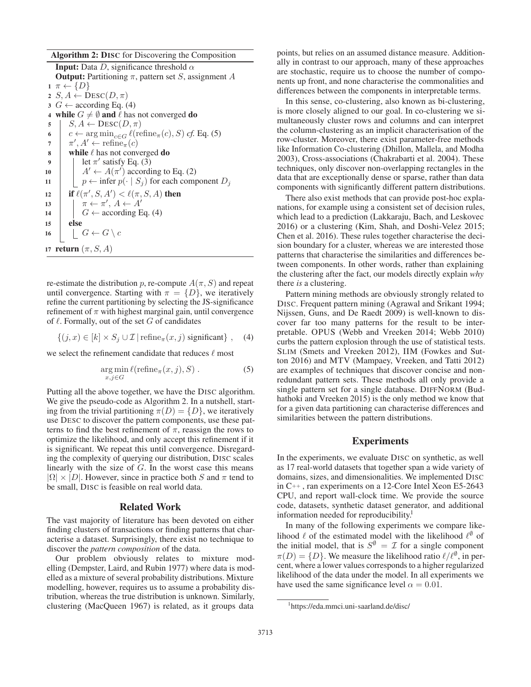Algorithm 2: DISC for Discovering the Composition

**Input:** Data D, significance threshold  $\alpha$ **Output:** Partitioning  $\pi$ , pattern set S, assignment A  $1 \pi \leftarrow \{D\}$ 2  $S, A \leftarrow \text{Desc}(D, \pi)$  $3 \ G \leftarrow$  according Eq. (4) 4 while  $G \neq \emptyset$  and  $\ell$  has not converged do 5 |  $S, A \leftarrow \text{Desc}(D, \pi)$ 6 c ←  $\arg \min_{c \in G} \ell(\text{refine}_{\pi}(c), S) \text{ cf. Eq. (5)}$ <br>7  $\pi', A' \leftarrow \text{refine}_{\pi}(c)$ 7  $\pi', A' \leftarrow \text{refine}_{\pi}(c)$ 8 while  $\ell$  has not converged do 9 | let  $\pi'$  satisfy Eq. (3) 10  $A' \leftarrow A(\pi')$  according to Eq. (2) 11  $\vert \vert p \leftarrow \text{infer } p(\cdot \vert S_j)$  for each component  $D_j$ 12 if  $\ell(\pi',S,A') < \ell(\pi,S,A)$  then 13  $\pi \leftarrow \pi', A \leftarrow A'$ 14  $\mid G \leftarrow$  according Eq. (4) 15 else 16  $\Big|$   $G \leftarrow G \setminus c$ 17 return  $(\pi, S, A)$ 

re-estimate the distribution p, re-compute  $A(\pi, S)$  and repeat until convergence. Starting with  $\pi = \{D\}$ , we iteratively refine the current partitioning by selecting the JS-significance refinement of  $\pi$  with highest marginal gain, until convergence of  $\ell$ . Formally, out of the set G of candidates

$$
\{(j, x) \in [k] \times S_j \cup \mathcal{I} \mid \text{refine}_{\pi}(x, j) \text{ significant}\},\quad(4)
$$

we select the refinement candidate that reduces  $\ell$  most

$$
\underset{x,j \in G}{\arg \min} \ell(\text{refine}_{\pi}(x,j), S) . \tag{5}
$$

Putting all the above together, we have the DISC algorithm. We give the pseudo-code as Algorithm 2. In a nutshell, starting from the trivial partitioning  $\pi(D) = \{D\}$ , we iteratively use DESC to discover the pattern components, use these patterns to find the best refinement of  $\pi$ , reassign the rows to optimize the likelihood, and only accept this refinement if it is significant. We repeat this until convergence. Disregarding the complexity of querying our distribution, DISC scales linearly with the size of  $G$ . In the worst case this means  $|\Omega| \times |D|$ . However, since in practice both S and  $\pi$  tend to be small, DISC is feasible on real world data.

# Related Work

The vast majority of literature has been devoted on either finding clusters of transactions or finding patterns that characterise a dataset. Surprisingly, there exist no technique to discover the *pattern composition* of the data.

Our problem obviously relates to mixture modelling (Dempster, Laird, and Rubin 1977) where data is modelled as a mixture of several probability distributions. Mixture modelling, however, requires us to assume a probability distribution, whereas the true distribution is unknown. Similarly, clustering (MacQueen 1967) is related, as it groups data

points, but relies on an assumed distance measure. Additionally in contrast to our approach, many of these approaches are stochastic, require us to choose the number of components up front, and none characterise the commonalities and differences between the components in interpretable terms.

In this sense, co-clustering, also known as bi-clustering, is more closely aligned to our goal. In co-clustering we simultaneously cluster rows and columns and can interpret the column-clustering as an implicit characterisation of the row-cluster. Moreover, there exist parameter-free methods like Information Co-clustering (Dhillon, Mallela, and Modha 2003), Cross-associations (Chakrabarti et al. 2004). These techniques, only discover non-overlapping rectangles in the data that are exceptionally dense or sparse, rather than data components with significantly different pattern distributions.

There also exist methods that can provide post-hoc explanations, for example using a consistent set of decision rules, which lead to a prediction (Lakkaraju, Bach, and Leskovec 2016) or a clustering (Kim, Shah, and Doshi-Velez 2015; Chen et al. 2016). These rules together characterise the decision boundary for a cluster, whereas we are interested those patterns that characterise the similarities and differences between components. In other words, rather than explaining the clustering after the fact, our models directly explain *why* there *is* a clustering.

Pattern mining methods are obviously strongly related to DISC. Frequent pattern mining (Agrawal and Srikant 1994; Nijssen, Guns, and De Raedt 2009) is well-known to discover far too many patterns for the result to be interpretable. OPUS (Webb and Vreeken 2014; Webb 2010) curbs the pattern explosion through the use of statistical tests. SLIM (Smets and Vreeken 2012), IIM (Fowkes and Sutton 2016) and MTV (Mampaey, Vreeken, and Tatti 2012) are examples of techniques that discover concise and nonredundant pattern sets. These methods all only provide a single pattern set for a single database. DIFFNORM (Budhathoki and Vreeken 2015) is the only method we know that for a given data partitioning can characterise differences and similarities between the pattern distributions.

# Experiments

In the experiments, we evaluate DISC on synthetic, as well as 17 real-world datasets that together span a wide variety of domains, sizes, and dimensionalities. We implemented DISC in C++ , ran experiments on a 12-Core Intel Xeon E5-2643 CPU, and report wall-clock time. We provide the source code, datasets, synthetic dataset generator, and additional information needed for reproducibility.<sup>1</sup>

In many of the following experiments we compare likelihood  $\ell$  of the estimated model with the likelihood  $\ell^{\emptyset}$  of the initial model, that is  $S^{\emptyset} = \mathcal{I}$  for a single component  $\pi(D) = \{D\}$ . We measure the likelihood ratio  $\ell/\ell^{\emptyset}$ , in percent, where a lower values corresponds to a higher regularized likelihood of the data under the model. In all experiments we have used the same significance level  $\alpha = 0.01$ .

<sup>1</sup> https://eda.mmci.uni-saarland.de/disc/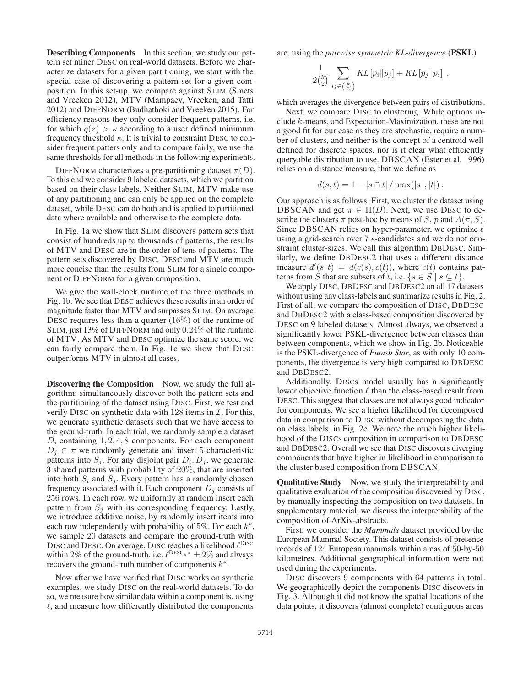Describing Components In this section, we study our pattern set miner DESC on real-world datasets. Before we characterize datasets for a given partitioning, we start with the special case of discovering a pattern set for a given composition. In this set-up, we compare against SLIM (Smets and Vreeken 2012), MTV (Mampaey, Vreeken, and Tatti 2012) and DIFFNORM (Budhathoki and Vreeken 2015). For efficiency reasons they only consider frequent patterns, i.e. for which  $q(z) > \kappa$  according to a user defined minimum frequency threshold  $\kappa$ . It is trivial to constraint DESC to consider frequent patters only and to compare fairly, we use the same thresholds for all methods in the following experiments.

DIFFNORM characterizes a pre-partitioning dataset  $\pi(D)$ . To this end we consider 9 labeled datasets, which we partition based on their class labels. Neither SLIM, MTV make use of any partitioning and can only be applied on the complete dataset, while DESC can do both and is applied to partitioned data where available and otherwise to the complete data.

In Fig. 1a we show that SLIM discovers pattern sets that consist of hundreds up to thousands of patterns, the results of MTV and DESC are in the order of tens of patterns. The pattern sets discovered by DISC, DESC and MTV are much more concise than the results from SLIM for a single component or DIFFNORM for a given composition.

We give the wall-clock runtime of the three methods in Fig. 1b. We see that DESC achieves these results in an order of magnitude faster than MTV and surpasses SLIM. On average DESC requires less than a quarter  $(16\%)$  of the runtime of SLIM, just 13% of DIFFNORM and only 0.24% of the runtime of MTV. As MTV and DESC optimize the same score, we can fairly compare them. In Fig. 1c we show that DESC outperforms MTV in almost all cases.

Discovering the Composition Now, we study the full algorithm: simultaneously discover both the pattern sets and the partitioning of the dataset using DISC. First, we test and verify DISC on synthetic data with 128 items in  $\mathcal{I}$ . For this, we generate synthetic datasets such that we have access to the ground-truth. In each trial, we randomly sample a dataset D, containing  $1, 2, 4, 8$  components. For each component  $D_i \in \pi$  we randomly generate and insert 5 characteristic patterns into  $S_j$ . For any disjoint pair  $D_i, D_j$ , we generate 3 shared patterns with probability of 20%, that are inserted into both  $S_i$  and  $S_j$ . Every pattern has a randomly chosen frequency associated with it. Each component  $D_j$  consists of 256 rows. In each row, we uniformly at random insert each pattern from  $S_i$  with its corresponding frequency. Lastly, we introduce additive noise, by randomly insert items into each row independently with probability of 5%. For each  $k^*$ , we sample 20 datasets and compare the ground-truth with DISC and DESC. On average, DISC reaches a likelihood  $\ell^{\text{Disc}}$ within 2% of the ground-truth, i.e.  $\ell^{\text{Desc}_{\pi^*}} \pm 2\%$  and always recovers the ground-truth number of components  $k^*$ .

Now after we have verified that DISC works on synthetic examples, we study DISC on the real-world datasets. To do so, we measure how similar data within a component is, using  $\ell$ , and measure how differently distributed the components are, using the *pairwise symmetric KL-divergence* (PSKL)

$$
\frac{1}{2{k \choose 2}} \sum_{ij \in {[k] \choose 2}} KL[p_i || p_j] + KL[p_j || p_i],
$$

which averages the divergence between pairs of distributions.

Next, we compare DISC to clustering. While options include k-means, and Expectation-Maximization, these are not a good fit for our case as they are stochastic, require a number of clusters, and neither is the concept of a centroid well defined for discrete spaces, nor is it clear what efficiently queryable distribution to use. DBSCAN (Ester et al. 1996) relies on a distance measure, that we define as

$$
d(s,t) = 1 - |s \cap t| / \max(|s|, |t|).
$$

Our approach is as follows: First, we cluster the dataset using DBSCAN and get  $\pi \in \Pi(D)$ . Next, we use DESC to describe the clusters  $\pi$  post-hoc by means of S, p and  $A(\pi, S)$ . Since DBSCAN relies on hyper-parameter, we optimize  $\ell$ using a grid-search over  $7 \epsilon$ -candidates and we do not constraint cluster-sizes. We call this algorithm DBDESC. Similarly, we define DBDESC2 that uses a different distance measure  $d'(s,t) = d(c(s), c(t))$ , where  $c(t)$  contains patterns from S that are subsets of t, i.e.  $\{s \in S \mid s \subseteq t\}.$ 

We apply DISC, DBDESC and DBDESC2 on all 17 datasets without using any class-labels and summarize results in Fig. 2. First of all, we compare the composition of DISC, DBDESC and DBDESC2 with a class-based composition discovered by DESC on 9 labeled datasets. Almost always, we observed a significantly lower PSKL-divergence between classes than between components, which we show in Fig. 2b. Noticeable is the PSKL-divergence of *Pumsb Star*, as with only 10 components, the divergence is very high compared to DBDESC and DBDESC2.

Additionally, DISCs model usually has a significantly lower objective function  $\ell$  than the class-based result from DESC. This suggest that classes are not always good indicator for components. We see a higher likelihood for decomposed data in comparison to DESC without decomposing the data on class labels, in Fig. 2c. We note the much higher likelihood of the DISCs composition in comparison to DBDESC and DBDESC2. Overall we see that DISC discovers diverging components that have higher in likelihood in comparison to the cluster based composition from DBSCAN.

Qualitative Study Now, we study the interpretability and qualitative evaluation of the composition discovered by DISC, by manually inspecting the composition on two datasets. In supplementary material, we discuss the interpretability of the composition of ArXiv-abstracts.

First, we consider the *Mammals* dataset provided by the European Mammal Society. This dataset consists of presence records of 124 European mammals within areas of 50-by-50 kilometres. Additional geographical information were not used during the experiments.

DISC discovers 9 components with 64 patterns in total. We geographically depict the components DISC discovers in Fig. 3. Although it did not know the spatial locations of the data points, it discovers (almost complete) contiguous areas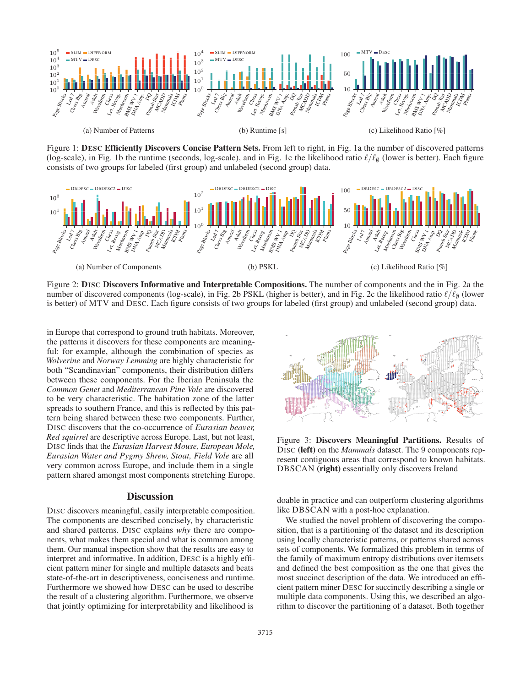

Figure 1: DESC Efficiently Discovers Concise Pattern Sets. From left to right, in Fig. 1a the number of discovered patterns (log-scale), in Fig. 1b the runtime (seconds, log-scale), and in Fig. 1c the likelihood ratio  $\ell/\ell_{\theta}$  (lower is better). Each figure consists of two groups for labeled (first group) and unlabeled (second group) data.



Figure 2: DISC Discovers Informative and Interpretable Compositions. The number of components and the in Fig. 2a the number of discovered components (log-scale), in Fig. 2b PSKL (higher is better), and in Fig. 2c the likelihood ratio  $\ell/\ell_{\varnothing}$  (lower is better) of MTV and DESC. Each figure consists of two groups for labeled (first group) and unlabeled (second group) data.

in Europe that correspond to ground truth habitats. Moreover, the patterns it discovers for these components are meaningful: for example, although the combination of species as *Wolverine* and *Norway Lemming* are highly characteristic for both "Scandinavian" components, their distribution differs between these components. For the Iberian Peninsula the *Common Genet* and *Mediterranean Pine Vole* are discovered to be very characteristic. The habitation zone of the latter spreads to southern France, and this is reflected by this pattern being shared between these two components. Further, DISC discovers that the co-occurrence of *Eurasian beaver, Red squirrel* are descriptive across Europe. Last, but not least, DISC finds that the *Eurasian Harvest Mouse, European Mole, Eurasian Water and Pygmy Shrew, Stoat, Field Vole* are all very common across Europe, and include them in a single pattern shared amongst most components stretching Europe.

#### **Discussion**

DISC discovers meaningful, easily interpretable composition. The components are described concisely, by characteristic and shared patterns. DISC explains *why* there are components, what makes them special and what is common among them. Our manual inspection show that the results are easy to interpret and informative. In addition, DESC is a highly efficient pattern miner for single and multiple datasets and beats state-of-the-art in descriptiveness, conciseness and runtime. Furthermore we showed how DESC can be used to describe the result of a clustering algorithm. Furthermore, we observe that jointly optimizing for interpretability and likelihood is



Figure 3: Discovers Meaningful Partitions. Results of DISC (left) on the *Mammals* dataset. The 9 components represent contiguous areas that correspond to known habitats. DBSCAN (right) essentially only discovers Ireland

doable in practice and can outperform clustering algorithms like DBSCAN with a post-hoc explanation.

We studied the novel problem of discovering the composition, that is a partitioning of the dataset and its description using locally characteristic patterns, or patterns shared across sets of components. We formalized this problem in terms of the family of maximum entropy distributions over itemsets and defined the best composition as the one that gives the most succinct description of the data. We introduced an efficient pattern miner DESC for succinctly describing a single or multiple data components. Using this, we described an algorithm to discover the partitioning of a dataset. Both together